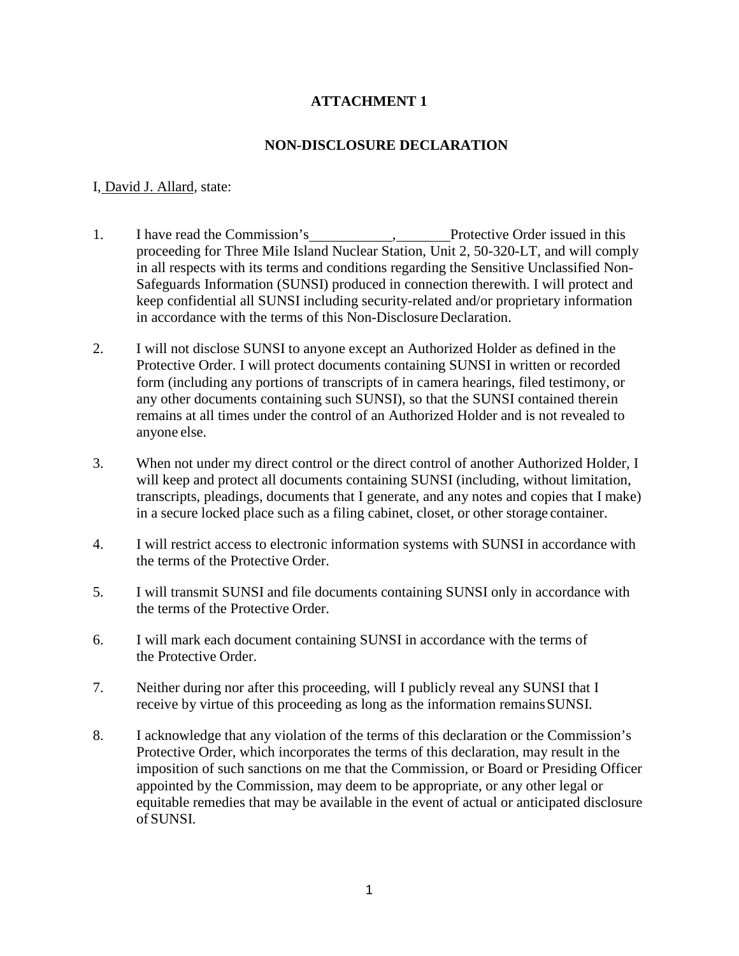## **NON-DISCLOSURE DECLARATION**

### I, David J. Allard, state:

- 1. I have read the Commission's , Protective Order issued in this proceeding for Three Mile Island Nuclear Station, Unit 2, 50-320-LT, and will comply in all respects with its terms and conditions regarding the Sensitive Unclassified Non-Safeguards Information (SUNSI) produced in connection therewith. I will protect and keep confidential all SUNSI including security-related and/or proprietary information in accordance with the terms of this Non-Disclosure Declaration.
- 2. I will not disclose SUNSI to anyone except an Authorized Holder as defined in the Protective Order. I will protect documents containing SUNSI in written or recorded form (including any portions of transcripts of in camera hearings, filed testimony, or any other documents containing such SUNSI), so that the SUNSI contained therein remains at all times under the control of an Authorized Holder and is not revealed to anyone else.
- 3. When not under my direct control or the direct control of another Authorized Holder, I will keep and protect all documents containing SUNSI (including, without limitation, transcripts, pleadings, documents that I generate, and any notes and copies that I make) in a secure locked place such as a filing cabinet, closet, or other storage container.
- 4. I will restrict access to electronic information systems with SUNSI in accordance with the terms of the Protective Order.
- 5. I will transmit SUNSI and file documents containing SUNSI only in accordance with the terms of the Protective Order.
- 6. I will mark each document containing SUNSI in accordance with the terms of the Protective Order.
- 7. Neither during nor after this proceeding, will I publicly reveal any SUNSI that I receive by virtue of this proceeding as long as the information remainsSUNSI.
- 8. I acknowledge that any violation of the terms of this declaration or the Commission's Protective Order, which incorporates the terms of this declaration, may result in the imposition of such sanctions on me that the Commission, or Board or Presiding Officer appointed by the Commission, may deem to be appropriate, or any other legal or equitable remedies that may be available in the event of actual or anticipated disclosure of SUNSI.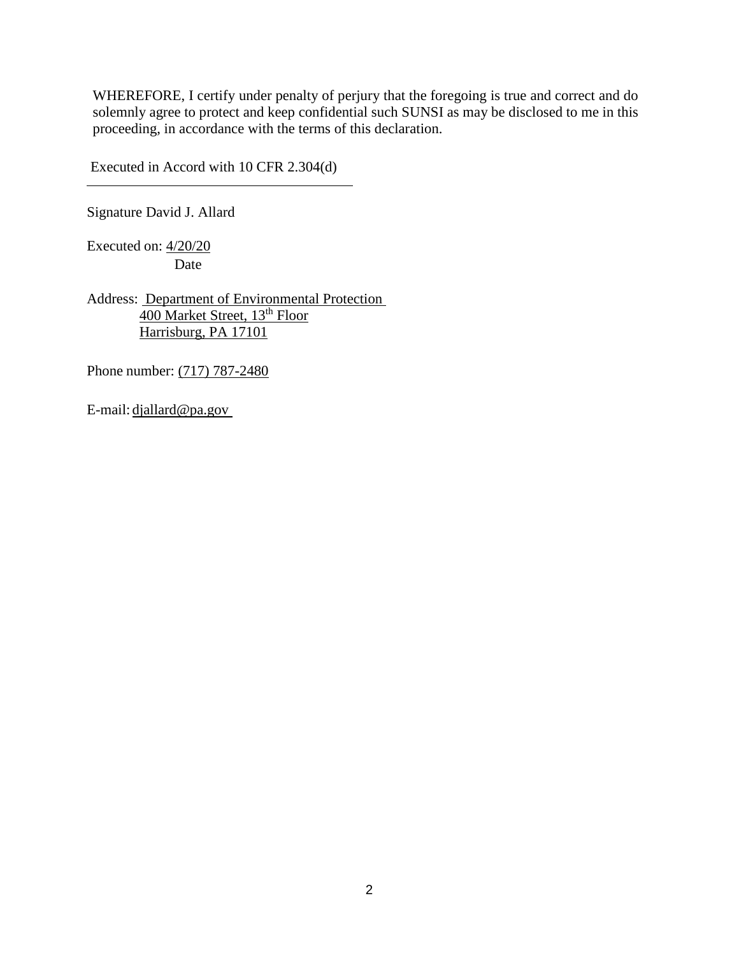Executed in Accord with 10 CFR 2.304(d)

Signature David J. Allard

Executed on: 4/20/20 Date

Address: Department of Environmental Protection 400 Market Street, 13<sup>th</sup> Floor Harrisburg, PA 17101

Phone number: (717) 787-2480

E-mail: djallard@pa.gov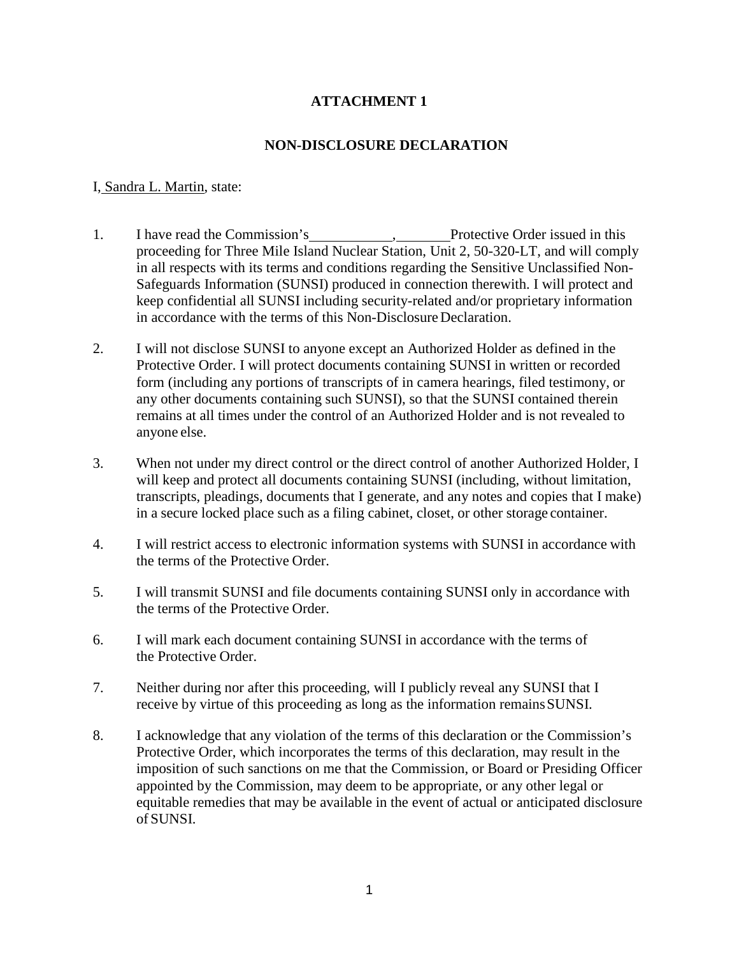## **NON-DISCLOSURE DECLARATION**

### I, Sandra L. Martin, state:

- 1. I have read the Commission's , Protective Order issued in this proceeding for Three Mile Island Nuclear Station, Unit 2, 50-320-LT, and will comply in all respects with its terms and conditions regarding the Sensitive Unclassified Non-Safeguards Information (SUNSI) produced in connection therewith. I will protect and keep confidential all SUNSI including security-related and/or proprietary information in accordance with the terms of this Non-Disclosure Declaration.
- 2. I will not disclose SUNSI to anyone except an Authorized Holder as defined in the Protective Order. I will protect documents containing SUNSI in written or recorded form (including any portions of transcripts of in camera hearings, filed testimony, or any other documents containing such SUNSI), so that the SUNSI contained therein remains at all times under the control of an Authorized Holder and is not revealed to anyone else.
- 3. When not under my direct control or the direct control of another Authorized Holder, I will keep and protect all documents containing SUNSI (including, without limitation, transcripts, pleadings, documents that I generate, and any notes and copies that I make) in a secure locked place such as a filing cabinet, closet, or other storage container.
- 4. I will restrict access to electronic information systems with SUNSI in accordance with the terms of the Protective Order.
- 5. I will transmit SUNSI and file documents containing SUNSI only in accordance with the terms of the Protective Order.
- 6. I will mark each document containing SUNSI in accordance with the terms of the Protective Order.
- 7. Neither during nor after this proceeding, will I publicly reveal any SUNSI that I receive by virtue of this proceeding as long as the information remainsSUNSI.
- 8. I acknowledge that any violation of the terms of this declaration or the Commission's Protective Order, which incorporates the terms of this declaration, may result in the imposition of such sanctions on me that the Commission, or Board or Presiding Officer appointed by the Commission, may deem to be appropriate, or any other legal or equitable remedies that may be available in the event of actual or anticipated disclosure of SUNSI.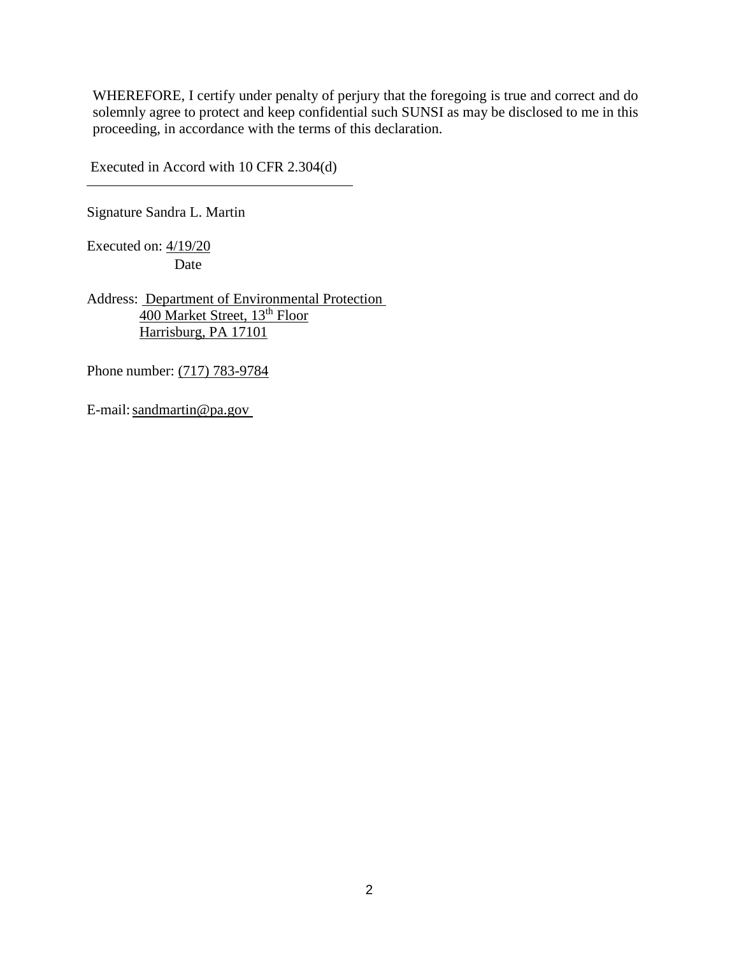Executed in Accord with 10 CFR 2.304(d)

Signature Sandra L. Martin

Executed on: 4/19/20 Date

Address: Department of Environmental Protection 400 Market Street, 13<sup>th</sup> Floor Harrisburg, PA 17101

Phone number: (717) 783-9784

E-mail: sandmartin@pa.gov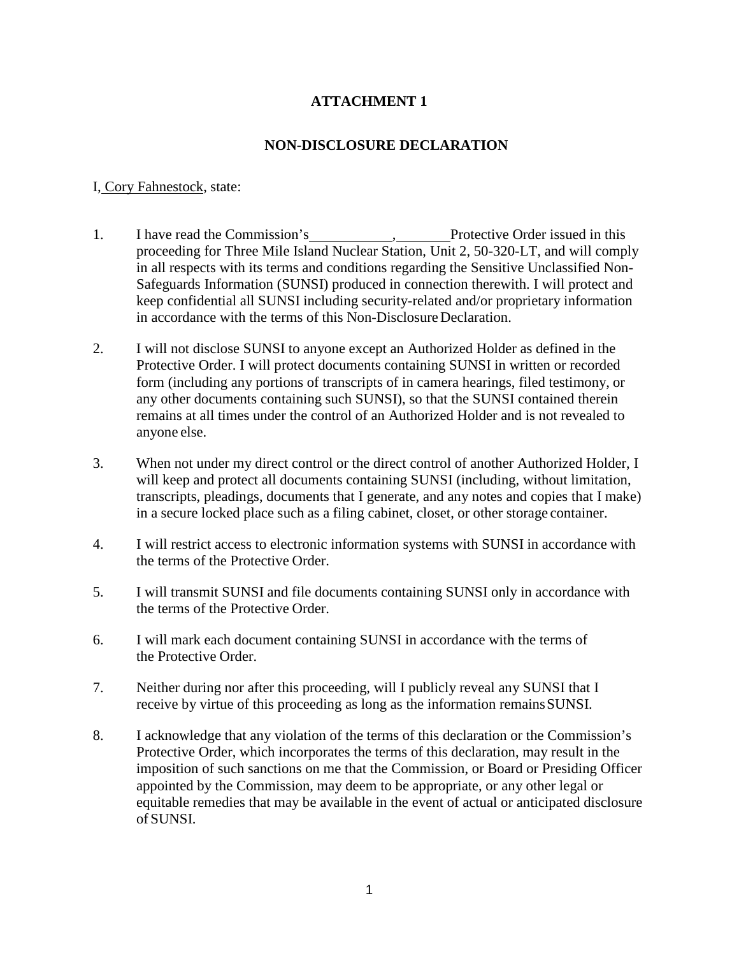## **NON-DISCLOSURE DECLARATION**

### I, Cory Fahnestock, state:

- 1. I have read the Commission's , Protective Order issued in this proceeding for Three Mile Island Nuclear Station, Unit 2, 50-320-LT, and will comply in all respects with its terms and conditions regarding the Sensitive Unclassified Non-Safeguards Information (SUNSI) produced in connection therewith. I will protect and keep confidential all SUNSI including security-related and/or proprietary information in accordance with the terms of this Non-Disclosure Declaration.
- 2. I will not disclose SUNSI to anyone except an Authorized Holder as defined in the Protective Order. I will protect documents containing SUNSI in written or recorded form (including any portions of transcripts of in camera hearings, filed testimony, or any other documents containing such SUNSI), so that the SUNSI contained therein remains at all times under the control of an Authorized Holder and is not revealed to anyone else.
- 3. When not under my direct control or the direct control of another Authorized Holder, I will keep and protect all documents containing SUNSI (including, without limitation, transcripts, pleadings, documents that I generate, and any notes and copies that I make) in a secure locked place such as a filing cabinet, closet, or other storage container.
- 4. I will restrict access to electronic information systems with SUNSI in accordance with the terms of the Protective Order.
- 5. I will transmit SUNSI and file documents containing SUNSI only in accordance with the terms of the Protective Order.
- 6. I will mark each document containing SUNSI in accordance with the terms of the Protective Order.
- 7. Neither during nor after this proceeding, will I publicly reveal any SUNSI that I receive by virtue of this proceeding as long as the information remainsSUNSI.
- 8. I acknowledge that any violation of the terms of this declaration or the Commission's Protective Order, which incorporates the terms of this declaration, may result in the imposition of such sanctions on me that the Commission, or Board or Presiding Officer appointed by the Commission, may deem to be appropriate, or any other legal or equitable remedies that may be available in the event of actual or anticipated disclosure of SUNSI.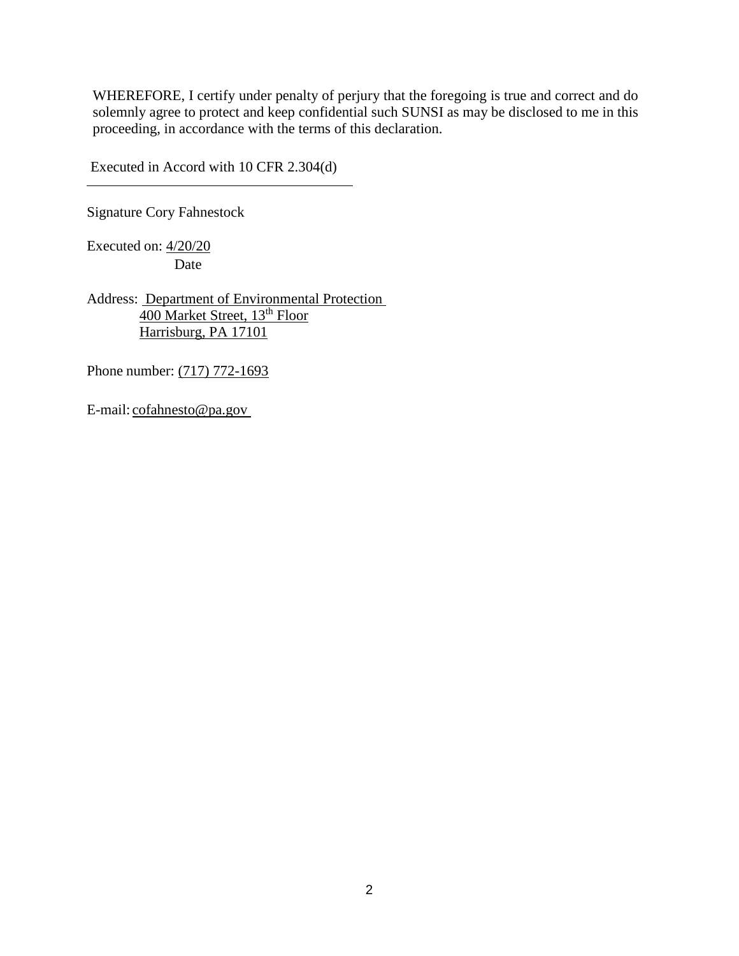Executed in Accord with 10 CFR 2.304(d)

Signature Cory Fahnestock

Executed on: 4/20/20 Date

Address: Department of Environmental Protection 400 Market Street, 13<sup>th</sup> Floor Harrisburg, PA 17101

Phone number: (717) 772-1693

E-mail: cofahnesto@pa.gov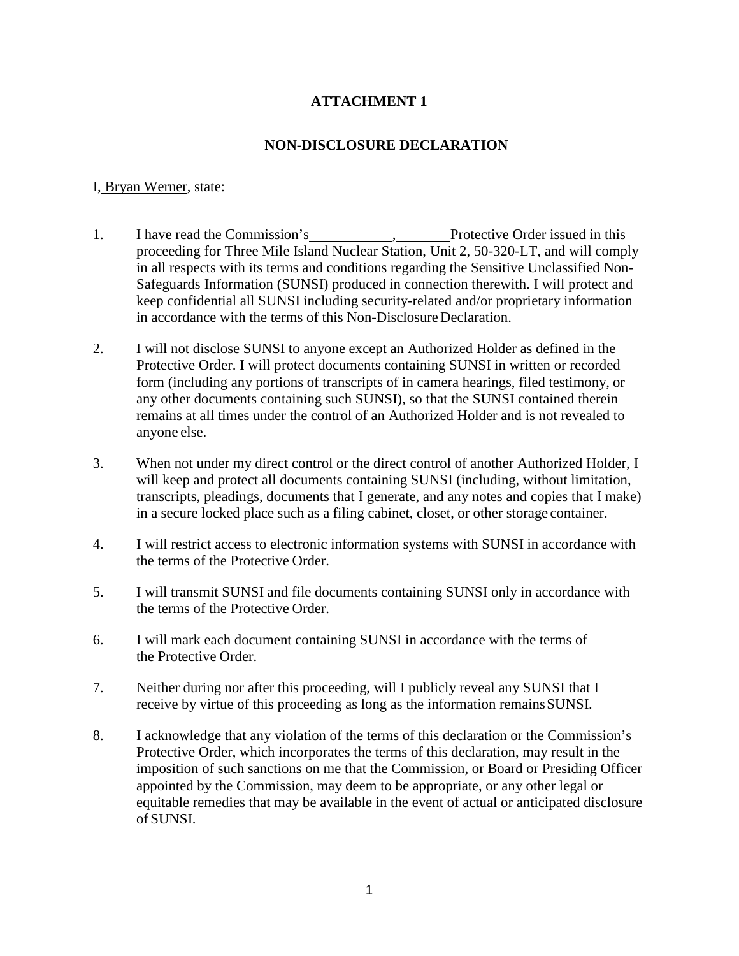## **NON-DISCLOSURE DECLARATION**

#### I, Bryan Werner, state:

- 1. I have read the Commission's , Protective Order issued in this proceeding for Three Mile Island Nuclear Station, Unit 2, 50-320-LT, and will comply in all respects with its terms and conditions regarding the Sensitive Unclassified Non-Safeguards Information (SUNSI) produced in connection therewith. I will protect and keep confidential all SUNSI including security-related and/or proprietary information in accordance with the terms of this Non-Disclosure Declaration.
- 2. I will not disclose SUNSI to anyone except an Authorized Holder as defined in the Protective Order. I will protect documents containing SUNSI in written or recorded form (including any portions of transcripts of in camera hearings, filed testimony, or any other documents containing such SUNSI), so that the SUNSI contained therein remains at all times under the control of an Authorized Holder and is not revealed to anyone else.
- 3. When not under my direct control or the direct control of another Authorized Holder, I will keep and protect all documents containing SUNSI (including, without limitation, transcripts, pleadings, documents that I generate, and any notes and copies that I make) in a secure locked place such as a filing cabinet, closet, or other storage container.
- 4. I will restrict access to electronic information systems with SUNSI in accordance with the terms of the Protective Order.
- 5. I will transmit SUNSI and file documents containing SUNSI only in accordance with the terms of the Protective Order.
- 6. I will mark each document containing SUNSI in accordance with the terms of the Protective Order.
- 7. Neither during nor after this proceeding, will I publicly reveal any SUNSI that I receive by virtue of this proceeding as long as the information remainsSUNSI.
- 8. I acknowledge that any violation of the terms of this declaration or the Commission's Protective Order, which incorporates the terms of this declaration, may result in the imposition of such sanctions on me that the Commission, or Board or Presiding Officer appointed by the Commission, may deem to be appropriate, or any other legal or equitable remedies that may be available in the event of actual or anticipated disclosure of SUNSI.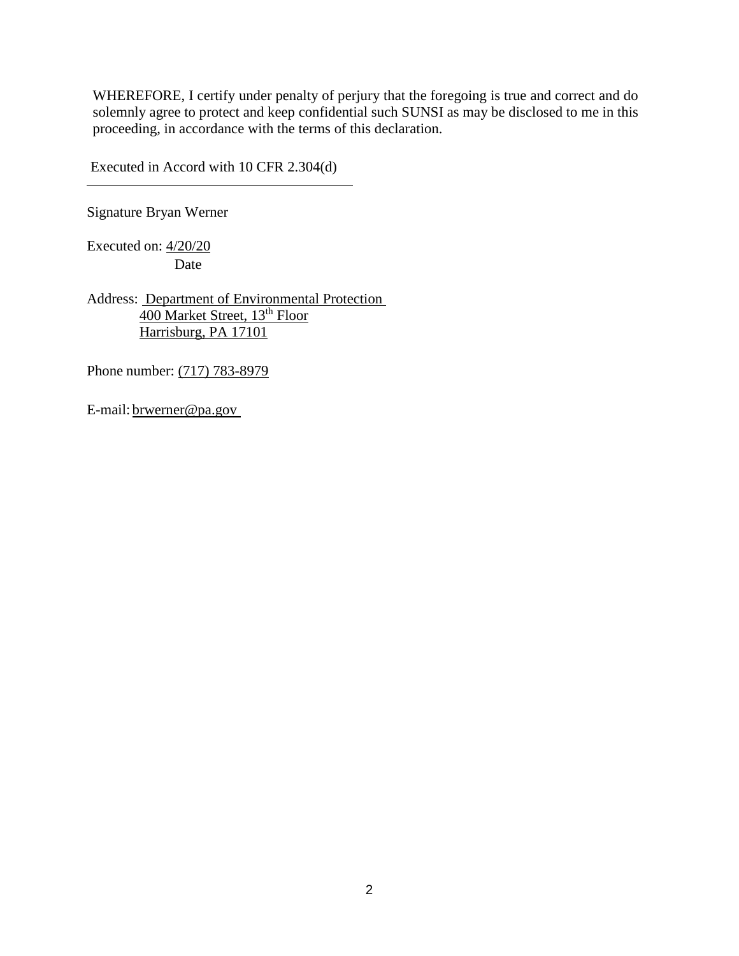Executed in Accord with 10 CFR 2.304(d)

Signature Bryan Werner

Executed on: 4/20/20 Date

Address: Department of Environmental Protection 400 Market Street, 13<sup>th</sup> Floor Harrisburg, PA 17101

Phone number: (717) 783-8979

E-mail: brwerner@pa.gov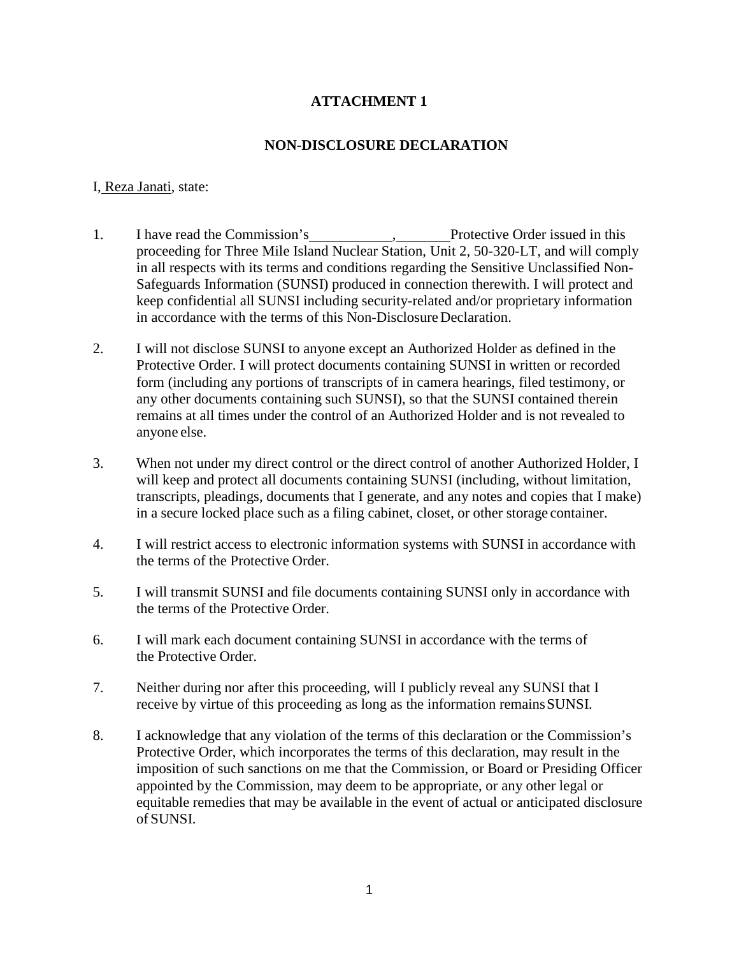## **NON-DISCLOSURE DECLARATION**

#### I, Reza Janati, state:

- 1. I have read the Commission's , Protective Order issued in this proceeding for Three Mile Island Nuclear Station, Unit 2, 50-320-LT, and will comply in all respects with its terms and conditions regarding the Sensitive Unclassified Non-Safeguards Information (SUNSI) produced in connection therewith. I will protect and keep confidential all SUNSI including security-related and/or proprietary information in accordance with the terms of this Non-Disclosure Declaration.
- 2. I will not disclose SUNSI to anyone except an Authorized Holder as defined in the Protective Order. I will protect documents containing SUNSI in written or recorded form (including any portions of transcripts of in camera hearings, filed testimony, or any other documents containing such SUNSI), so that the SUNSI contained therein remains at all times under the control of an Authorized Holder and is not revealed to anyone else.
- 3. When not under my direct control or the direct control of another Authorized Holder, I will keep and protect all documents containing SUNSI (including, without limitation, transcripts, pleadings, documents that I generate, and any notes and copies that I make) in a secure locked place such as a filing cabinet, closet, or other storage container.
- 4. I will restrict access to electronic information systems with SUNSI in accordance with the terms of the Protective Order.
- 5. I will transmit SUNSI and file documents containing SUNSI only in accordance with the terms of the Protective Order.
- 6. I will mark each document containing SUNSI in accordance with the terms of the Protective Order.
- 7. Neither during nor after this proceeding, will I publicly reveal any SUNSI that I receive by virtue of this proceeding as long as the information remainsSUNSI.
- 8. I acknowledge that any violation of the terms of this declaration or the Commission's Protective Order, which incorporates the terms of this declaration, may result in the imposition of such sanctions on me that the Commission, or Board or Presiding Officer appointed by the Commission, may deem to be appropriate, or any other legal or equitable remedies that may be available in the event of actual or anticipated disclosure of SUNSI.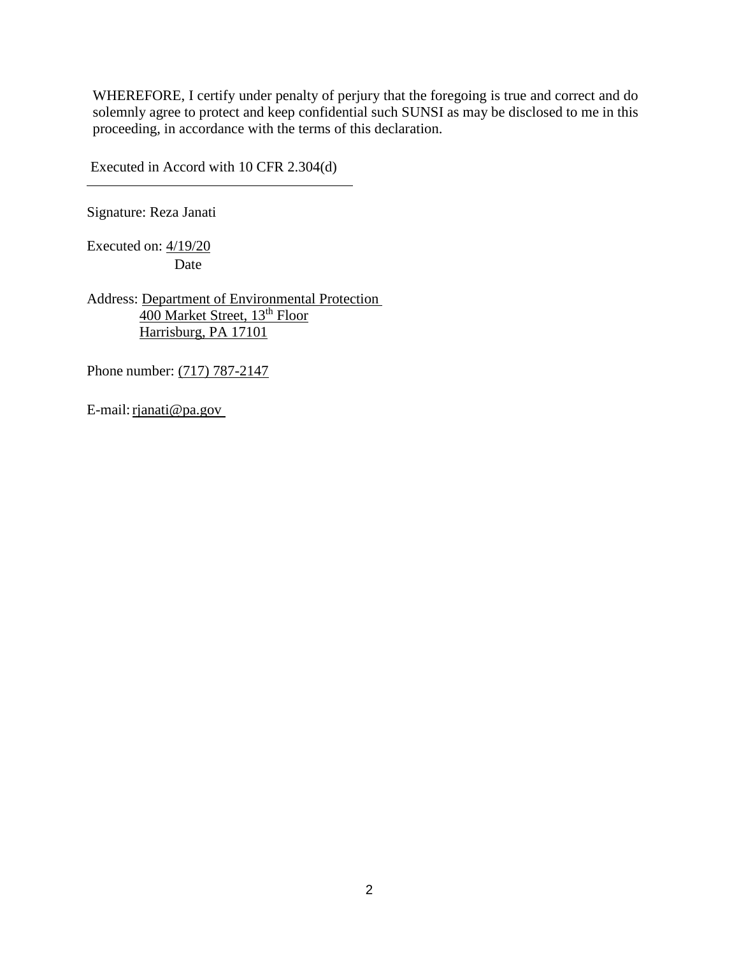Executed in Accord with 10 CFR 2.304(d)

Signature: Reza Janati

Executed on: 4/19/20 Date

Address: Department of Environmental Protection 400 Market Street, 13<sup>th</sup> Floor Harrisburg, PA 17101

Phone number: (717) 787-2147

E-mail: rjanati@pa.gov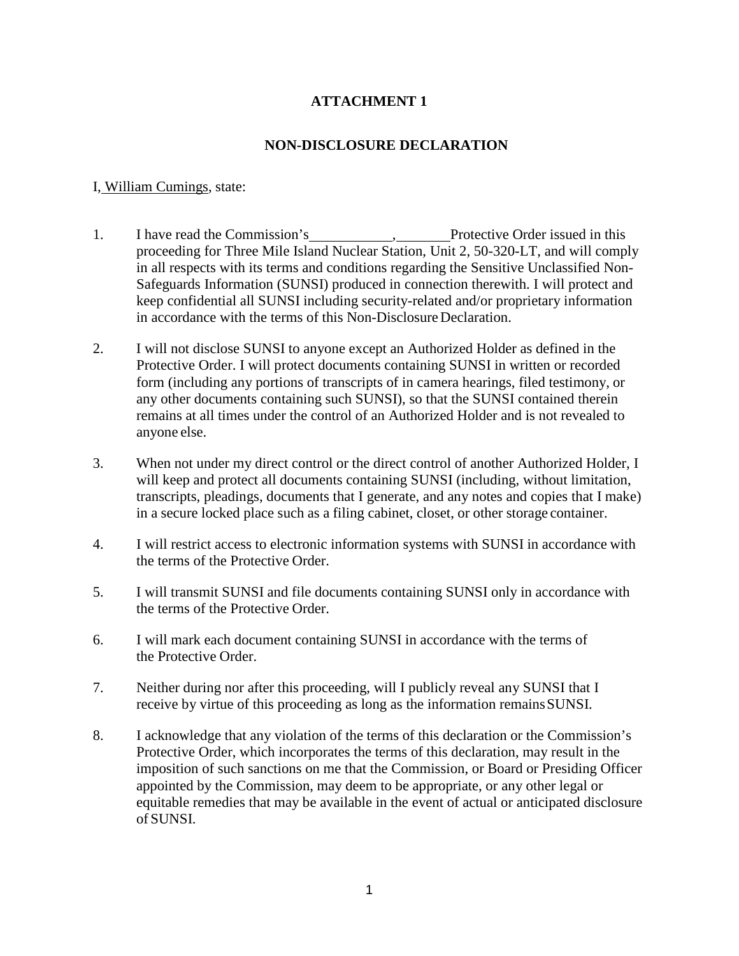## **NON-DISCLOSURE DECLARATION**

### I, William Cumings, state:

- 1. I have read the Commission's , Protective Order issued in this proceeding for Three Mile Island Nuclear Station, Unit 2, 50-320-LT, and will comply in all respects with its terms and conditions regarding the Sensitive Unclassified Non-Safeguards Information (SUNSI) produced in connection therewith. I will protect and keep confidential all SUNSI including security-related and/or proprietary information in accordance with the terms of this Non-Disclosure Declaration.
- 2. I will not disclose SUNSI to anyone except an Authorized Holder as defined in the Protective Order. I will protect documents containing SUNSI in written or recorded form (including any portions of transcripts of in camera hearings, filed testimony, or any other documents containing such SUNSI), so that the SUNSI contained therein remains at all times under the control of an Authorized Holder and is not revealed to anyone else.
- 3. When not under my direct control or the direct control of another Authorized Holder, I will keep and protect all documents containing SUNSI (including, without limitation, transcripts, pleadings, documents that I generate, and any notes and copies that I make) in a secure locked place such as a filing cabinet, closet, or other storage container.
- 4. I will restrict access to electronic information systems with SUNSI in accordance with the terms of the Protective Order.
- 5. I will transmit SUNSI and file documents containing SUNSI only in accordance with the terms of the Protective Order.
- 6. I will mark each document containing SUNSI in accordance with the terms of the Protective Order.
- 7. Neither during nor after this proceeding, will I publicly reveal any SUNSI that I receive by virtue of this proceeding as long as the information remainsSUNSI.
- 8. I acknowledge that any violation of the terms of this declaration or the Commission's Protective Order, which incorporates the terms of this declaration, may result in the imposition of such sanctions on me that the Commission, or Board or Presiding Officer appointed by the Commission, may deem to be appropriate, or any other legal or equitable remedies that may be available in the event of actual or anticipated disclosure of SUNSI.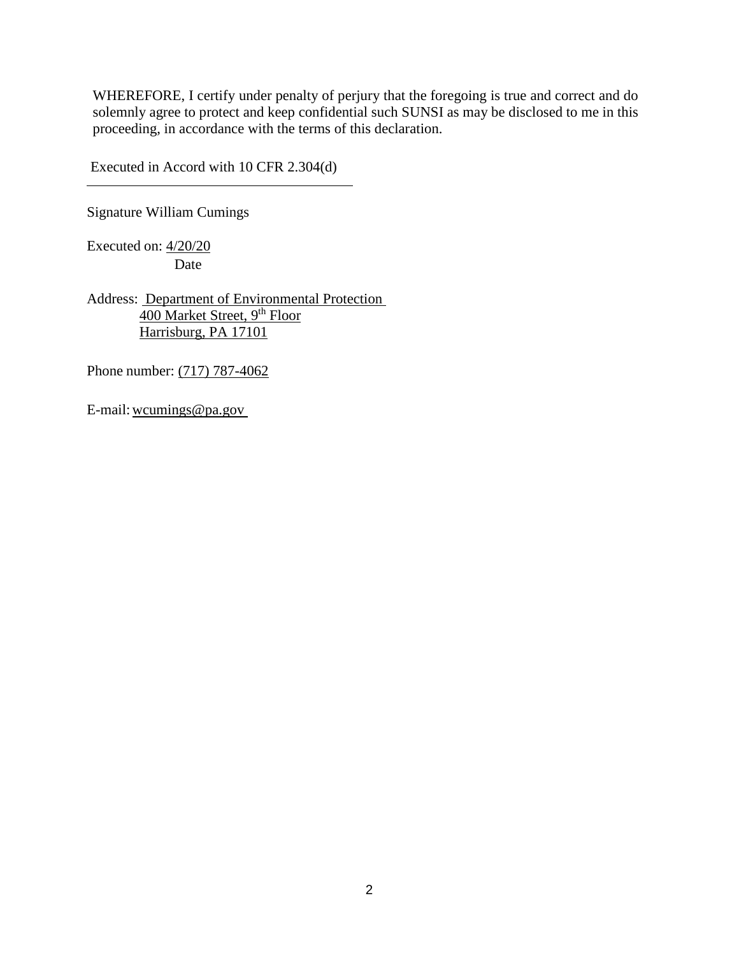Executed in Accord with 10 CFR 2.304(d)

Signature William Cumings

Executed on: 4/20/20 Date

Address: Department of Environmental Protection 400 Market Street, 9<sup>th</sup> Floor Harrisburg, PA 17101

Phone number: (717) 787-4062

E-mail:wcumings@pa.gov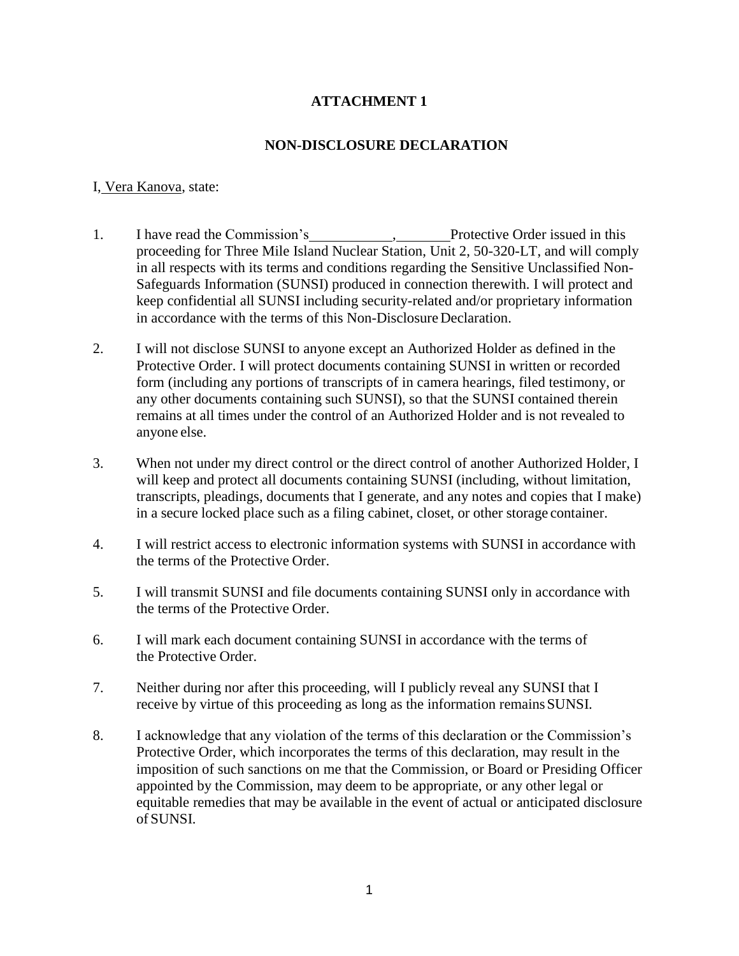## **NON-DISCLOSURE DECLARATION**

#### I, Vera Kanova, state:

- 1. I have read the Commission's , Protective Order issued in this proceeding for Three Mile Island Nuclear Station, Unit 2, 50-320-LT, and will comply in all respects with its terms and conditions regarding the Sensitive Unclassified Non-Safeguards Information (SUNSI) produced in connection therewith. I will protect and keep confidential all SUNSI including security-related and/or proprietary information in accordance with the terms of this Non-Disclosure Declaration.
- 2. I will not disclose SUNSI to anyone except an Authorized Holder as defined in the Protective Order. I will protect documents containing SUNSI in written or recorded form (including any portions of transcripts of in camera hearings, filed testimony, or any other documents containing such SUNSI), so that the SUNSI contained therein remains at all times under the control of an Authorized Holder and is not revealed to anyone else.
- 3. When not under my direct control or the direct control of another Authorized Holder, I will keep and protect all documents containing SUNSI (including, without limitation, transcripts, pleadings, documents that I generate, and any notes and copies that I make) in a secure locked place such as a filing cabinet, closet, or other storage container.
- 4. I will restrict access to electronic information systems with SUNSI in accordance with the terms of the Protective Order.
- 5. I will transmit SUNSI and file documents containing SUNSI only in accordance with the terms of the Protective Order.
- 6. I will mark each document containing SUNSI in accordance with the terms of the Protective Order.
- 7. Neither during nor after this proceeding, will I publicly reveal any SUNSI that I receive by virtue of this proceeding as long as the information remainsSUNSI.
- 8. I acknowledge that any violation of the terms of this declaration or the Commission's Protective Order, which incorporates the terms of this declaration, may result in the imposition of such sanctions on me that the Commission, or Board or Presiding Officer appointed by the Commission, may deem to be appropriate, or any other legal or equitable remedies that may be available in the event of actual or anticipated disclosure of SUNSI.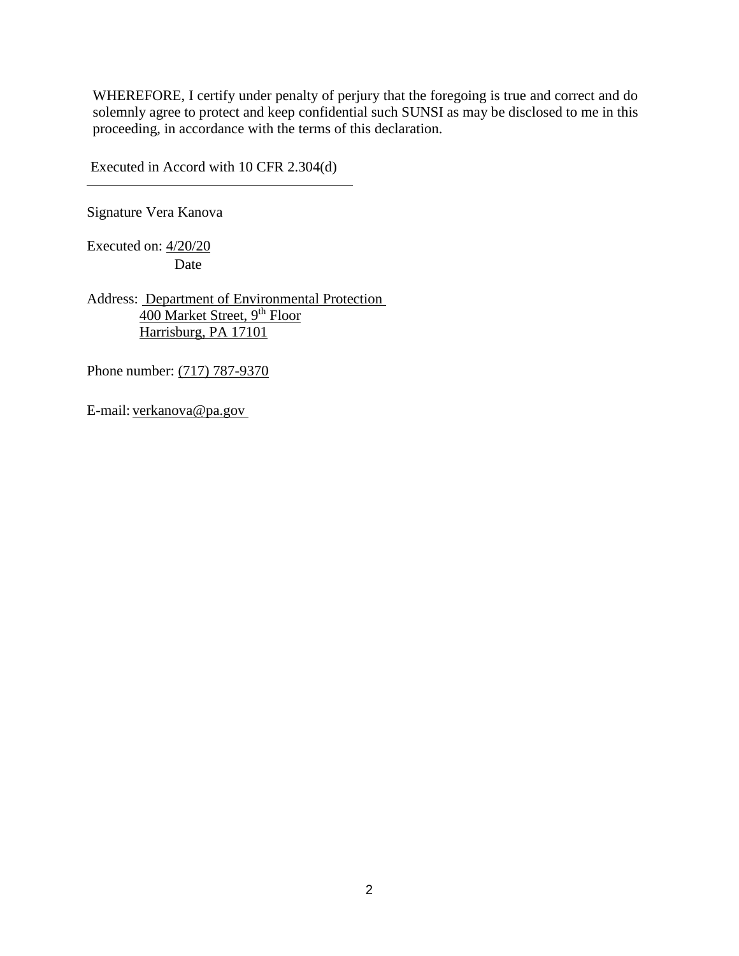Executed in Accord with 10 CFR 2.304(d)

Signature Vera Kanova

Executed on: 4/20/20 Date

Address: Department of Environmental Protection 400 Market Street, 9<sup>th</sup> Floor Harrisburg, PA 17101

Phone number: (717) 787-9370

E-mail: verkanova@pa.gov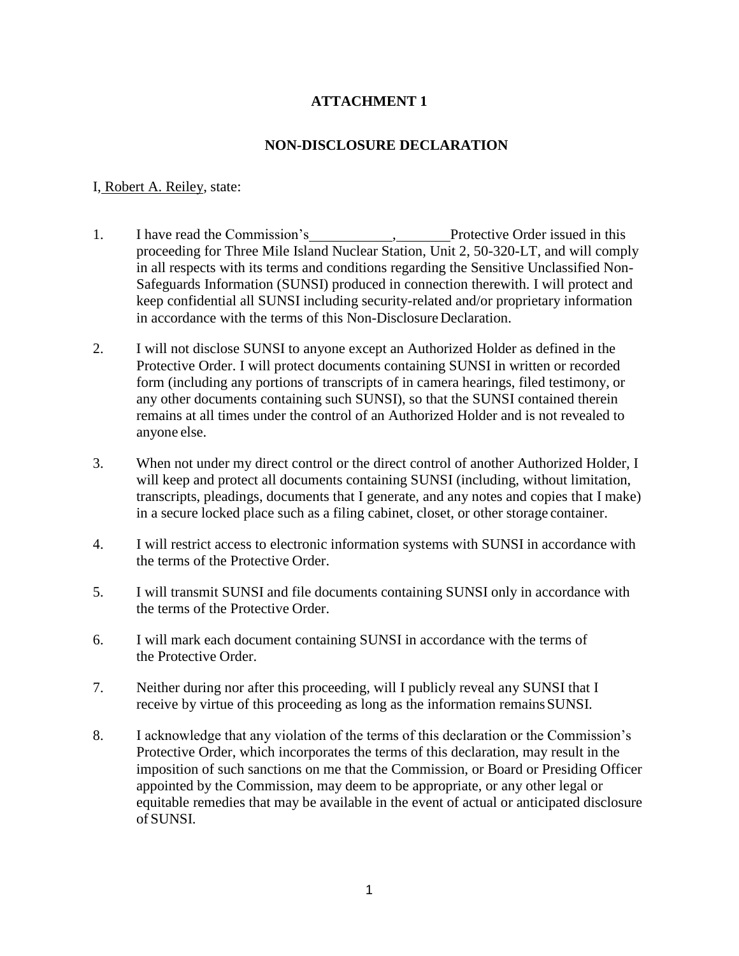## **NON-DISCLOSURE DECLARATION**

### I, Robert A. Reiley, state:

- 1. I have read the Commission's , Protective Order issued in this proceeding for Three Mile Island Nuclear Station, Unit 2, 50-320-LT, and will comply in all respects with its terms and conditions regarding the Sensitive Unclassified Non-Safeguards Information (SUNSI) produced in connection therewith. I will protect and keep confidential all SUNSI including security-related and/or proprietary information in accordance with the terms of this Non-Disclosure Declaration.
- 2. I will not disclose SUNSI to anyone except an Authorized Holder as defined in the Protective Order. I will protect documents containing SUNSI in written or recorded form (including any portions of transcripts of in camera hearings, filed testimony, or any other documents containing such SUNSI), so that the SUNSI contained therein remains at all times under the control of an Authorized Holder and is not revealed to anyone else.
- 3. When not under my direct control or the direct control of another Authorized Holder, I will keep and protect all documents containing SUNSI (including, without limitation, transcripts, pleadings, documents that I generate, and any notes and copies that I make) in a secure locked place such as a filing cabinet, closet, or other storage container.
- 4. I will restrict access to electronic information systems with SUNSI in accordance with the terms of the Protective Order.
- 5. I will transmit SUNSI and file documents containing SUNSI only in accordance with the terms of the Protective Order.
- 6. I will mark each document containing SUNSI in accordance with the terms of the Protective Order.
- 7. Neither during nor after this proceeding, will I publicly reveal any SUNSI that I receive by virtue of this proceeding as long as the information remainsSUNSI.
- 8. I acknowledge that any violation of the terms of this declaration or the Commission's Protective Order, which incorporates the terms of this declaration, may result in the imposition of such sanctions on me that the Commission, or Board or Presiding Officer appointed by the Commission, may deem to be appropriate, or any other legal or equitable remedies that may be available in the event of actual or anticipated disclosure of SUNSI.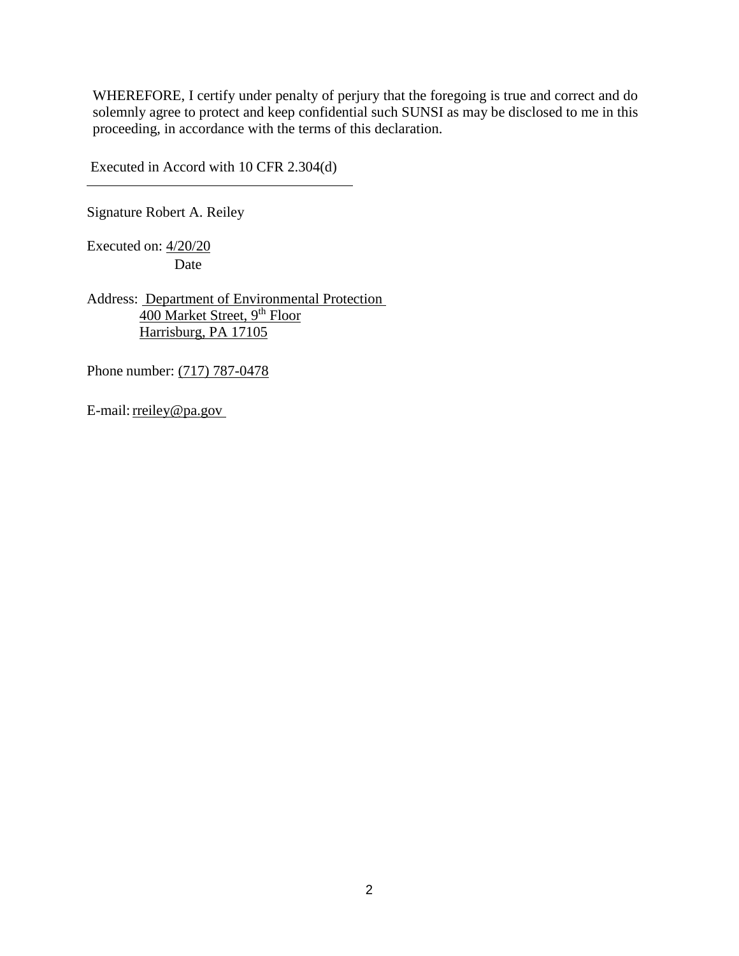Executed in Accord with 10 CFR 2.304(d)

Signature Robert A. Reiley

Executed on: 4/20/20 Date

Address: Department of Environmental Protection 400 Market Street, 9<sup>th</sup> Floor Harrisburg, PA 17105

Phone number: (717) 787-0478

E-mail: reiley@pa.gov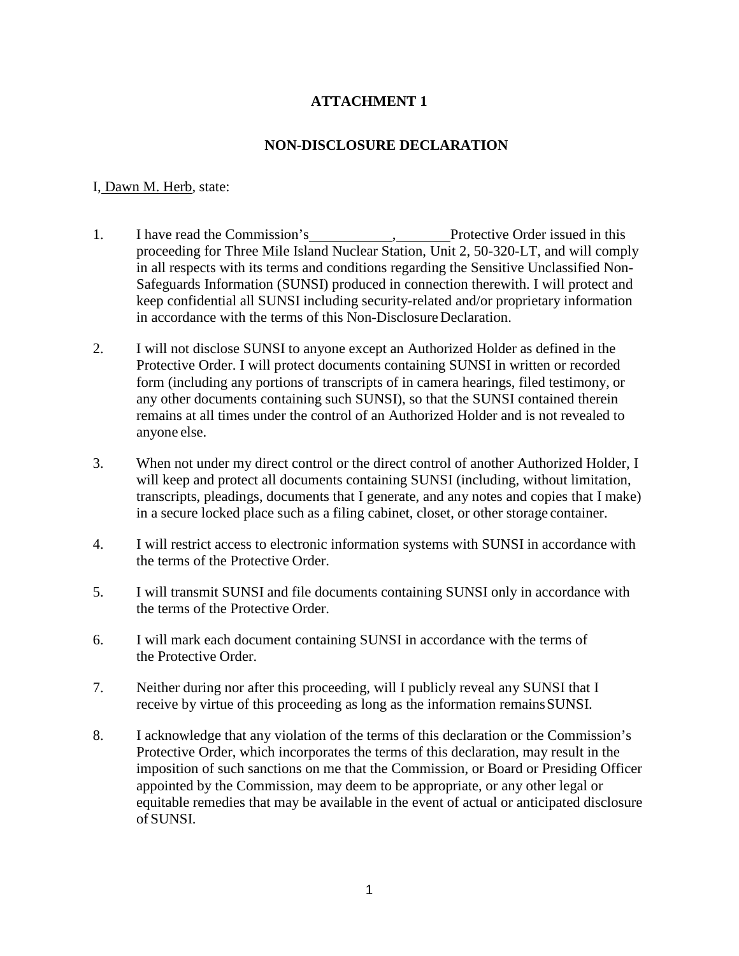## **NON-DISCLOSURE DECLARATION**

### I, Dawn M. Herb, state:

- 1. I have read the Commission's , Protective Order issued in this proceeding for Three Mile Island Nuclear Station, Unit 2, 50-320-LT, and will comply in all respects with its terms and conditions regarding the Sensitive Unclassified Non-Safeguards Information (SUNSI) produced in connection therewith. I will protect and keep confidential all SUNSI including security-related and/or proprietary information in accordance with the terms of this Non-Disclosure Declaration.
- 2. I will not disclose SUNSI to anyone except an Authorized Holder as defined in the Protective Order. I will protect documents containing SUNSI in written or recorded form (including any portions of transcripts of in camera hearings, filed testimony, or any other documents containing such SUNSI), so that the SUNSI contained therein remains at all times under the control of an Authorized Holder and is not revealed to anyone else.
- 3. When not under my direct control or the direct control of another Authorized Holder, I will keep and protect all documents containing SUNSI (including, without limitation, transcripts, pleadings, documents that I generate, and any notes and copies that I make) in a secure locked place such as a filing cabinet, closet, or other storage container.
- 4. I will restrict access to electronic information systems with SUNSI in accordance with the terms of the Protective Order.
- 5. I will transmit SUNSI and file documents containing SUNSI only in accordance with the terms of the Protective Order.
- 6. I will mark each document containing SUNSI in accordance with the terms of the Protective Order.
- 7. Neither during nor after this proceeding, will I publicly reveal any SUNSI that I receive by virtue of this proceeding as long as the information remainsSUNSI.
- 8. I acknowledge that any violation of the terms of this declaration or the Commission's Protective Order, which incorporates the terms of this declaration, may result in the imposition of such sanctions on me that the Commission, or Board or Presiding Officer appointed by the Commission, may deem to be appropriate, or any other legal or equitable remedies that may be available in the event of actual or anticipated disclosure of SUNSI.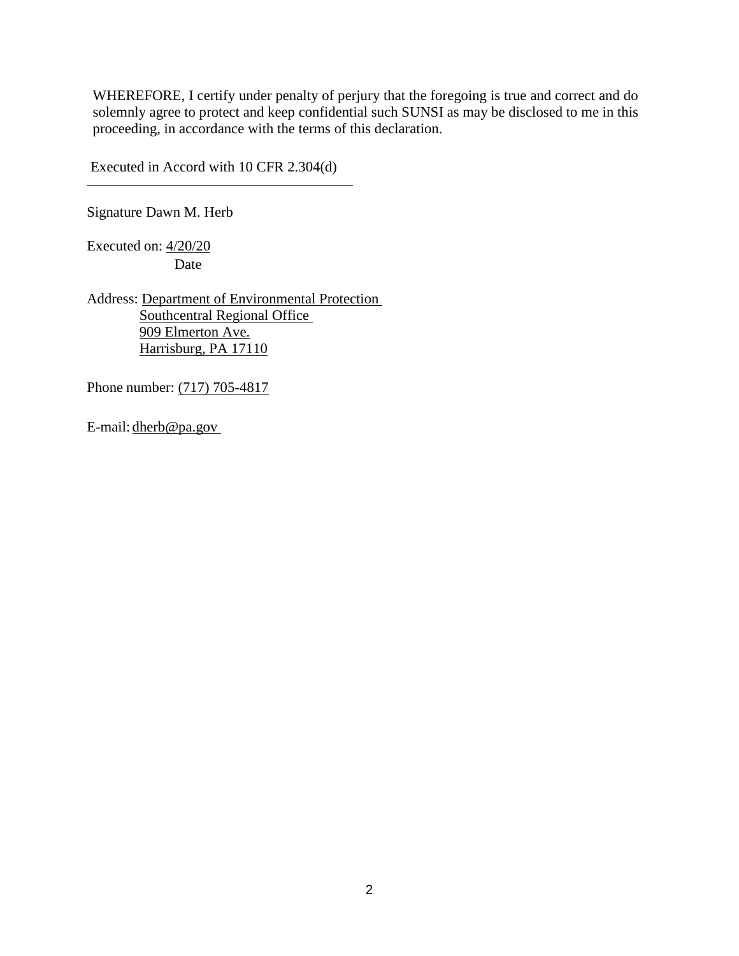Executed in Accord with 10 CFR 2.304(d)

Signature Dawn M. Herb

Executed on: 4/20/20 Date

Address: Department of Environmental Protection Southcentral Regional Office 909 Elmerton Ave. Harrisburg, PA 17110

Phone number: (717) 705-4817

E-mail: dherb@pa.gov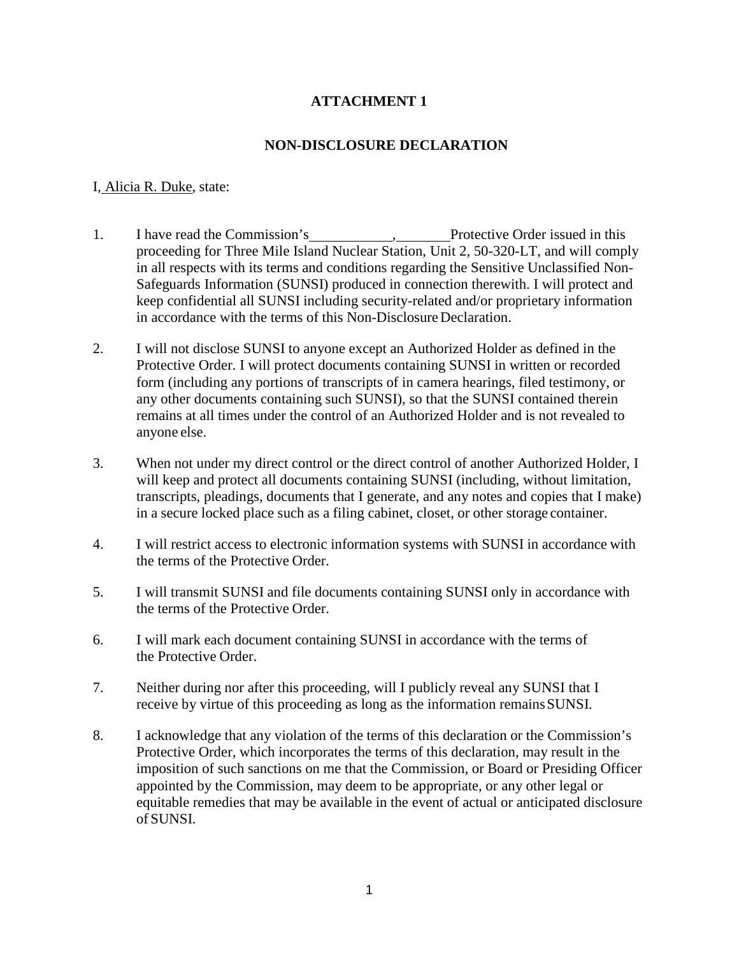## **NON-DISCLOSURE DECLARATION**

### I, Alicia R. Duke, state:

- 1. I have read the Commission's , Protective Order issued in this proceeding for Three Mile Island Nuclear Station, Unit 2, 50-320-LT, and will comply in all respects with its terms and conditions regarding the Sensitive Unclassified Non-Safeguards Information (SUNSI) produced in connection therewith. I will protect and keep confidential all SUNSI including security-related and/or proprietary information in accordance with the terms of this Non-Disclosure Declaration.
- 2. I will not disclose SUNSI to anyone except an Authorized Holder as defined in the Protective Order. I will protect documents containing SUNSI in written or recorded form (including any portions of transcripts of in camera hearings, filed testimony, or any other documents containing such SUNSI), so that the SUNSI contained therein remains at all times under the control of an Authorized Holder and is not revealed to anyone else.
- 3. When not under my direct control or the direct control of another Authorized Holder, I will keep and protect all documents containing SUNSI (including, without limitation, transcripts, pleadings, documents that I generate, and any notes and copies that I make) in a secure locked place such as a filing cabinet, closet, or other storage container.
- 4. I will restrict access to electronic information systems with SUNSI in accordance with the terms of the Protective Order.
- 5. I will transmit SUNSI and file documents containing SUNSI only in accordance with the terms of the Protective Order.
- 6. I will mark each document containing SUNSI in accordance with the terms of the Protective Order.
- 7. Neither during nor after this proceeding, will I publicly reveal any SUNSI that I receive by virtue of this proceeding as long as the information remainsSUNSI.
- 8. I acknowledge that any violation of the terms of this declaration or the Commission's Protective Order, which incorporates the terms of this declaration, may result in the imposition of such sanctions on me that the Commission, or Board or Presiding Officer appointed by the Commission, may deem to be appropriate, or any other legal or equitable remedies that may be available in the event of actual or anticipated disclosure of SUNSI.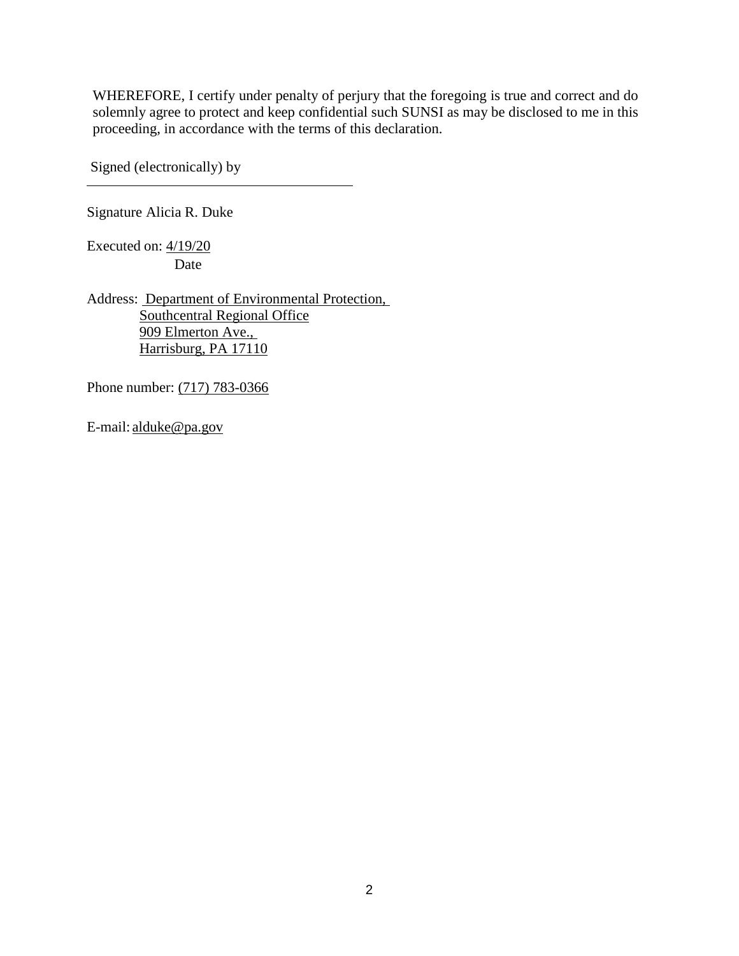Signed (electronically) by

Signature Alicia R. Duke

Executed on: 4/19/20 Date

Address: Department of Environmental Protection, Southcentral Regional Office 909 Elmerton Ave., Harrisburg, PA 17110

Phone number: (717) 783-0366

E-mail: alduke@pa.gov